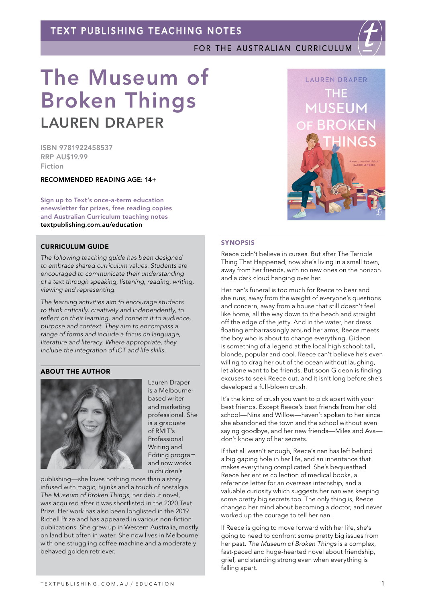FOR THE AUSTRALIAN CURRICULUM

# The Museum of Broken Things LAUREN DRAPER

ISBN 9781922458537 RRP AU\$19.99 Fiction

RECOMMENDED READING AGE: 14+

Sign up to Text's once-a-term education enewsletter for prizes, free reading copies and Australian Curriculum teaching notes [textpublishing.com.au/education](https://www.textpublishing.com.au/education)

## CURRICULUM GUIDE

*The following teaching guide has been designed to embrace shared curriculum values. Students are encouraged to communicate their understanding of a text through speaking, listening, reading, writing, viewing and representing.*

*The learning activities aim to encourage students to think critically, creatively and independently, to reflect on their learning, and connect it to audience, purpose and context. They aim to encompass a range of forms and include a focus on language, literature and literacy. Where appropriate, they include the integration of ICT and life skills.*

## ABOUT THE AUTHOR



Lauren Draper is a Melbournebased writer and marketing professional. She is a graduate of RMIT's Professional Writing and Editing program and now works in children's

publishing—she loves nothing more than a story infused with magic, hijinks and a touch of nostalgia. *The Museum of Broken Things*, her debut novel, was acquired after it was shortlisted in the 2020 Text Prize. Her work has also been longlisted in the 2019 Richell Prize and has appeared in various non-fiction publications. She grew up in Western Australia, mostly on land but often in water. She now lives in Melbourne with one struggling coffee machine and a moderately behaved golden retriever.



## **SYNOPSIS**

Reece didn't believe in curses. But after The Terrible Thing That Happened, now she's living in a small town, away from her friends, with no new ones on the horizon and a dark cloud hanging over her.

Her nan's funeral is too much for Reece to bear and she runs, away from the weight of everyone's questions and concern, away from a house that still doesn't feel like home, all the way down to the beach and straight off the edge of the jetty. And in the water, her dress floating embarrassingly around her arms, Reece meets the boy who is about to change everything. Gideon is something of a legend at the local high school: tall, blonde, popular and cool. Reece can't believe he's even willing to drag her out of the ocean without laughing, let alone want to be friends. But soon Gideon is finding excuses to seek Reece out, and it isn't long before she's developed a full-blown crush.

It's the kind of crush you want to pick apart with your best friends. Except Reece's best friends from her old school—Nina and Willow—haven't spoken to her since she abandoned the town and the school without even saying goodbye, and her new friends—Miles and Ava don't know any of her secrets.

If that all wasn't enough, Reece's nan has left behind a big gaping hole in her life, and an inheritance that makes everything complicated. She's bequeathed Reece her entire collection of medical books, a reference letter for an overseas internship, and a valuable curiosity which suggests her nan was keeping some pretty big secrets too. The only thing is, Reece changed her mind about becoming a doctor, and never worked up the courage to tell her nan.

If Reece is going to move forward with her life, she's going to need to confront some pretty big issues from her past. *The Museum of Broken Things* is a complex, fast-paced and huge-hearted novel about friendship, grief, and standing strong even when everything is falling apart.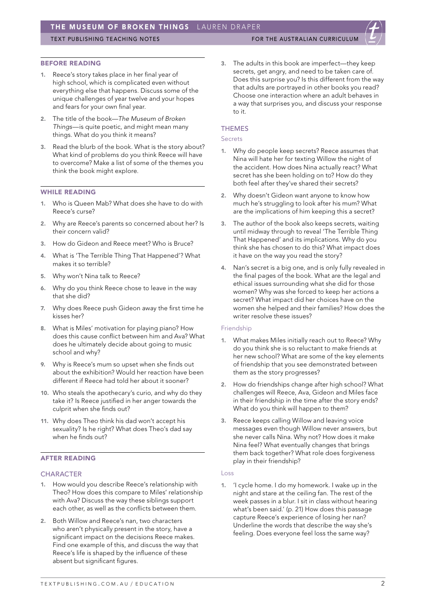# TEXT PUBLISHING TEACHING NOTES FOR THE AUSTRALIAN CURRICULUM

#### BEFORE READING

- 1. Reece's story takes place in her final year of high school, which is complicated even without everything else that happens. Discuss some of the unique challenges of year twelve and your hopes and fears for your own final year.
- 2. The title of the book—*The Museum of Broken Things*—is quite poetic, and might mean many things. What do you think it means?
- 3. Read the blurb of the book. What is the story about? What kind of problems do you think Reece will have to overcome? Make a list of some of the themes you think the book might explore.

## WHILE READING

- 1. Who is Queen Mab? What does she have to do with Reece's curse?
- 2. Why are Reece's parents so concerned about her? Is their concern valid?
- 3. How do Gideon and Reece meet? Who is Bruce?
- 4. What is 'The Terrible Thing That Happened'? What makes it so terrible?
- 5. Why won't Nina talk to Reece?
- 6. Why do you think Reece chose to leave in the way that she did?
- 7. Why does Reece push Gideon away the first time he kisses her?
- 8. What is Miles' motivation for playing piano? How does this cause conflict between him and Ava? What does he ultimately decide about going to music school and why?
- 9. Why is Reece's mum so upset when she finds out about the exhibition? Would her reaction have been different if Reece had told her about it sooner?
- 10. Who steals the apothecary's curio, and why do they take it? Is Reece justified in her anger towards the culprit when she finds out?
- 11. Why does Theo think his dad won't accept his sexuality? Is he right? What does Theo's dad say when he finds out?

# AFTER READING

### **CHARACTER**

- 1. How would you describe Reece's relationship with Theo? How does this compare to Miles' relationship with Ava? Discuss the way these siblings support each other, as well as the conflicts between them.
- 2. Both Willow and Reece's nan, two characters who aren't physically present in the story, have a significant impact on the decisions Reece makes. Find one example of this, and discuss the way that Reece's life is shaped by the influence of these absent but significant figures.

The adults in this book are imperfect—they keep secrets, get angry, and need to be taken care of. Does this surprise you? Is this different from the way that adults are portrayed in other books you read? Choose one interaction where an adult behaves in a way that surprises you, and discuss your response to it.

#### **THEMES**

#### Secrets

- 1. Why do people keep secrets? Reece assumes that Nina will hate her for texting Willow the night of the accident. How does Nina actually react? What secret has she been holding on to? How do they both feel after they've shared their secrets?
- 2. Why doesn't Gideon want anyone to know how much he's struggling to look after his mum? What are the implications of him keeping this a secret?
- 3. The author of the book also keeps secrets, waiting until midway through to reveal 'The Terrible Thing That Happened' and its implications. Why do you think she has chosen to do this? What impact does it have on the way you read the story?
- 4. Nan's secret is a big one, and is only fully revealed in the final pages of the book. What are the legal and ethical issues surrounding what she did for those women? Why was she forced to keep her actions a secret? What impact did her choices have on the women she helped and their families? How does the writer resolve these issues?

#### Friendship

- 1. What makes Miles initially reach out to Reece? Why do you think she is so reluctant to make friends at her new school? What are some of the key elements of friendship that you see demonstrated between them as the story progresses?
- 2. How do friendships change after high school? What challenges will Reece, Ava, Gideon and Miles face in their friendship in the time after the story ends? What do you think will happen to them?
- 3. Reece keeps calling Willow and leaving voice messages even though Willow never answers, but she never calls Nina. Why not? How does it make Nina feel? What eventually changes that brings them back together? What role does forgiveness play in their friendship?

#### Loss

1. 'I cycle home. I do my homework. I wake up in the night and stare at the ceiling fan. The rest of the week passes in a blur. I sit in class without hearing what's been said.' (p. 21) How does this passage capture Reece's experience of losing her nan? Underline the words that describe the way she's feeling. Does everyone feel loss the same way?